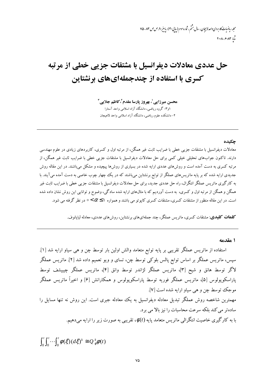محله رماضات کاربردی واحد لاسچان ، سال مثم ، شاره سوم (سایی۳۰) ، باسیر ۹۰، ص ص ۸۳ –۷۵ شا ۲۰۰۲-۶۰۸۳

## حل عددي معادلات ديفرانسيل با مشتقات جزيي خطي از مرتبه کسری با استفاده از چندجملهایهای برنشتاین

محسن میرزایی'، بهروز یارسا مقدم'،کاظم جلایی " ۱و۳–گروه ریاضی، دانشگاه آزاد اسلامی واحد آستارا ۲- دانشکده علوم ریاضی، دانشگاه آزاد اسلامی واحد لاهیجان

## حكىدە

معادلات دیفرانسیل با مشتقات جزیبی خطی با ضرایب ثابت غیر همگن، از مرتبه اول و کسری، کاربردهای زیادی در علوم مهندسی دارند. تاکنون جوابهای تحلیلی خیلی کمی برای حل معادلات دیفرانسیل با مشتقات جزیی خطی با ضرایب ثابت غیر همگن، از مرتبه کسری به دست آمده است و روشهای عددی ارایه شده در بسیاری از روشها پیچیده و مشکل میباشند. در این مقاله روش جدیدی ارایه شده که بر پایه ماتریسهای عملگر از توابع برنشتاین میباشند که در یک چهار چوب خاصی به دست آمده میآیند. با به کارگیری ماتریس عملگر انتگرال، راه حل عددی جدید، برای حل معادلات دیفرانسیل با مشتقات جزیبی خطی با ضرایب ثابت غیر همگن و همگن از مرتبه اول و کسری، به دست آوردیم که با مثالهای ارایه شده سادگی، وضوح و توانایی این روش نشان داده شده است. در این مقاله منظور از مشتقات کسری، مشتقات کسری کایوتو می باشند و همواره ۱ک $\alpha$ >٥ در نظر گرفته می شود.

**کلمات کلیدی**: مشتقات کسری، ماتریس عملگر، چند جملهایهای برنشتاین، روش های عددی، معادله لبایانوف.

## 1 مقدمه

استفاده از ماتریس عملگر تقریبی بر پایه توابع متعامد والش اولین بار توسط چن و هی سیاو ارایه شد [۱]. سیس، ماتریس عملگر بر اساس توابع پالس بلوکی توسط چن، تسای و ویو تعمیم داده شد [۲]. ماتریس عملگر لاگر توسط هانق و شیح [۳]، ماتریس عملگر لژاندر توسط وانق [۴]، ماتریس عملگر چیبیشف توسط پاراسکوپولوس [۵]، ماتریس عملگر فوریه توسط پاراسکوپولوس و همکارانش [۶] و اخیراً ماتریس عملگر موجک توسط چن و هي سياو ارايه شده است [۷]. مهمترین شاخصه روش عملگر تبدیل معادله دیفرانسیل به یک معادله جبری است. این روش نه تنها مسایل را سادهتر می کند بلکه سرعت محاسبات را نیز بالا می برد. با به کارگیری خاصیت انتگرالی ماتریس متعامد پایه ( $\phi(t)$ ، تقریبی به صورت زیر را ارایه میدهیم.

 $\int_0^t \int_0^t \cdots \int_0^t \phi(\xi) (d\xi)^k \cong Q_\phi^k \phi(t)$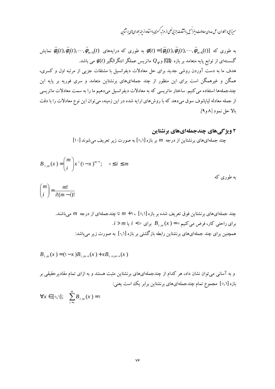.<br>میرزایی و بهجاران، حل عددی معادلات دیفرانسی باشتقات جزیی خطی از مرتبه کسری بااسفاده از جندحمله ای نای برنشآین

به طوری که [d<sub>0</sub>(t),
$$
\vec{\phi}_1(t)
$$
,..., $\vec{\phi}_{m-1}(t)$  به طرری که درایههای (d<sub>1</sub>)- $\vec{\phi}_0(t)$ , $\vec{\phi}_1(t)$ ,..., $\vec{\phi}_{m-1}(t)$ گستهای از توابع پایه متحامد بر بازه (Q<sub>0</sub>) و <sub>φ</sub> Q ماتریس عملگر انتگرالگیر (d) می باشد.  
هدف ما به دست آوردن روشی جدید برای عل معادلات دیفرانسیل با مشنتات جزیی از مرتبه اول و کسری،  
همگن و غیرهمگن استفاده می کنیم. ساختار ماتریسی که به معادلات دیفرانسیل میدهیم ما را به سمت معادلات ماتریسی  
از جمله معادله لیاپانوف سوق میدهد که با روشهای ارایه شده در این زمینه، میتوان این نوع معادلات را با دقت  
بالا حل نمود [۸و۹].

۲ ویژ گیهای چندجملهایهای برنشتاین

چند جملهایهای برنشتاین از درجه m بر بازه [۰٫۱] به صورت زیر تعریف می شوند [۱۰]

$$
B_{i,m}(x) = {m \choose i} x^{i} (1-x)^{m-i}; \quad 0 \le i \le m
$$
  

$$
{m \choose i} = \frac{m!}{i!(m-i)!}
$$

چند جملهایهای برنشتاین فوق تعریف شده بر بازه [۰٫۱] ، ۱+ m تا چندجملهای از درجه  $m$  میباشند.  $i > m$ برای راحتی کار، فرض میکنیم $B_{i,m}(x) = B_{i,m}(x)$ برای  $i < i < n$  یا همچنین برای چند جملهایهای برنشتاین رابطه بازگشتی بر بازه [۰٫۱] به صورت زیر می باشد:

$$
B_{i,m}(x) = (\lambda - x)B_{i,m-1}(x) + xB_{i-1,m-1}(x)
$$

و به آسانی می توان نشان داد، هر کدام از چندجملهایهای برنشتاین مثبت هستند و به ازای تمام مقادیرحقیقی بر بازه [٥٫١] مجموع تمام چندجملهایهای برنشتاین برابر یک است یعنی:

$$
\forall x \in [\circ, 1]; \quad \sum_{i=0}^{m} B_{i,m}(x) = 1
$$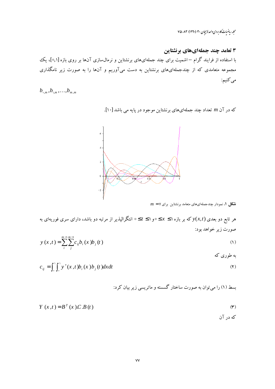مجله ریاضیات کاربردی واحدلاسپان ۳۰ (۱۳۹۰) ۷۵-۸۳

۳ تعامد چند جملهایهای برنشتاین با استفاده از فرایند گرام – اشمیت برای چند جملهایهای برنشتاین و نرمال $\omega$ ازی آنها بر روی بازه [۰٫۱]، یک مجموعه متعامدی که از چندجملهایهای برنشتاین به دست میآوریم و آنها را به صورت زیر نامگذاری مىكنيم:

 $b_{\,0,m},b_{\lambda,m},\ldots,b_{m,m}$ 

که در آن m تعداد چند جملهایهای برنشتاین موجود در پایه می باشد [۱۰].



 $m = \vee$  شکل ۱. نمودار چندجملهایهای متعامد برنشتاین برای

هر تابع دو بعدی  $y(x,t)$  که بر بازه ۱ $x \leq s \leq s$ و ۱ $t \leq s$  انتگرالپذیر از مرتبه دو باشد، دارای سری فوریهای به صورت زير خواهد بود:  $m \rightarrow m \rightarrow$ 

$$
y(x,t) = \sum_{i} \sum_{j} c_{ij} b_{i}(x) b_{j}(t)
$$
\n(1)

 $c_{ii} = \int_{0}^{1} \int_{0}^{1} y^{x}(x, t) b_{i}(x) b_{i}(t) dx dt$  $(1)$ 

بسط (۱) را می توان به صورت ساختار گسسته و ماتریسی زیر بیان کرد:

$$
Y(x,t) = B^{T}(x).C.B(t)
$$
 (\*)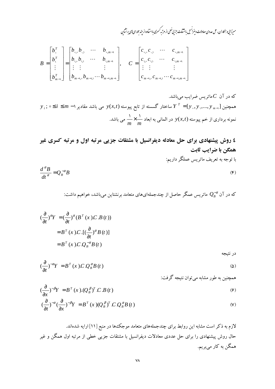.<br>میرزایی و بهجاران، حل عددی معادلات دیفرانسی باشتقات جزیی خطی از مرتبه کسری بااسفاده از جندحمله ای نای برنشآین

$$
B = \begin{bmatrix} b_{\circ}^{T} \\ b_{\circ}^{T} \\ \vdots \\ b_{m-1}^{T} \end{bmatrix} = \begin{bmatrix} b_{\circ, \circ} b_{\circ, \circ} & \cdots & b_{\circ, m-1} \\ b_{\circ, \circ} b_{\circ, \circ} & \cdots & b_{\circ, m-1} \\ \vdots & \vdots & & \vdots \\ b_{m-1, \circ} b_{m-1, \circ} & \cdots & b_{m-1, m-1} \end{bmatrix}, \quad C = \begin{bmatrix} c_{\circ, \circ} c_{\circ, \circ} & \cdots & c_{\circ, m-1} \\ c_{\circ, \circ} c_{\circ, \circ} & \cdots & c_{\circ, m-1} \\ \vdots & \vdots & & \vdots \\ c_{m-1, \circ} c_{m-1, \circ} & \cdots & c_{m-1, m-1} \end{bmatrix}
$$

که در آن ک ماتریس ضرایب میباشد.  
همچنین [،⊩ (y\_ , y ,..., y\_ "– ∤y )  
نمونه برداری از خم پیوسته 
$$
y(x,t)
$$
 در المانی به ابعاد  $\frac{1}{m} \times \frac{1}{m}$  می باشد.  
نمونه برداری از خم پیوسته  $y(x,t)$  در المانی به ابعاد  $\frac{1}{m} \times \frac{1}{m}$  می باشد.

٤ روش پیشنهادی برای حل معادله دیفرانسیل با مشتقات جزیی مرتبه اول و مرتبه کسری غیر همگن با ضرایب ثابت با توجه به تعریف ماتریس عملگر داریم:  $\frac{d^{\alpha}B}{dt^{\alpha}}=Q_{B}^{-\alpha}B$  $(\mathfrak{F})$ 

که در آن  $Q^{-\alpha}_B$  ماتریس عمگر حاصل از چندجملهایهای متعامد برنشتاین میباشد، خواهیم داشت:

$$
(\frac{\partial}{\partial t})^{\alpha} Y = (\frac{\partial}{\partial t})^{\alpha} (B^T(x) . C . B(t))
$$
  
=  $B^T(x) . C . [(\frac{\partial}{\partial t})^{\alpha} B(t)]$   
=  $B^T(x) . C . Q_B^{-\alpha} B(t)$ 

$$
\left(\frac{\partial}{\partial t}\right)^{-\alpha} Y = B^T(x) C Q_B^{\alpha} B(t) \tag{3}
$$

همچنین به طور مشابه می توان نتیجه گرفت:

در نتيجه

$$
\left(\frac{\partial}{\partial x}\right)^{-\beta} Y = B^T(x) \cdot \left(Q_B^{\beta}\right)^T C \cdot B(t) \tag{9}
$$

$$
\left(\frac{\partial}{\partial t}\right)^{-\alpha}\left(\frac{\partial}{\partial x}\right)^{-\beta}Y = B^{T}(x)\left(Q_{B}^{\beta}\right)^{T}CQ_{B}^{\alpha}B(t)
$$
\n<sup>(V)</sup>

لازم به ذکر است مشابه این روابط برای چندجملههای متعامد موجکهها در منبع [۱۱] ارایه شدهاند. حال روش پیشنهادی را برای حل عددی معادلات دیفرانسیل با مشتقات جزیی خطی از مرتبه اول همگن و غیر همگن به کار میبریم.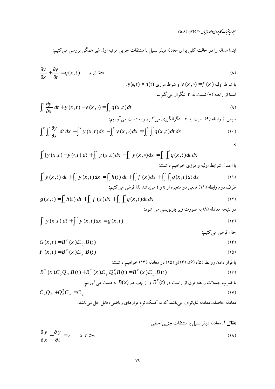مجله ریاضیات کاربردی واحدلاسچان ۳۰ (۱۳۹۰) ۷۵-۷۵

$$
\frac{\partial y}{\partial x} + \frac{\partial y}{\partial t} = q(x, t) \qquad x, t > 0
$$
 (A)

$$
\int_{0}^{t} \frac{\partial y}{\partial x} dt + y(x, t) - y(x, \circ) = \int_{0}^{t} q(x, t) dt
$$
\n
$$
\lim_{x \to \infty} x \text{ (4)}
$$
\n
$$
\lim_{x \to \infty} (f(x, t) - f(x, \circ)) = \lim_{x \to \infty} f(x, t) + \lim_{x \to \infty} f(x, t) = \lim_{x \to \infty} f(x, t) + \lim_{x \to \infty} f(x, t) = \lim_{x \to \infty} f(x, t) + \lim_{x \to \infty} f(x, t) = \lim_{x \to \infty} f(x, t) + \lim_{x \to \infty} f(x, t) = \lim_{x \to \infty} f(x, t) + \lim_{x \to \infty} f(x, t) = \lim_{x \to \infty} f(x, t) + \lim_{x \to \infty} f(x, t) = \lim_{x \to \infty} f(x, t) + \lim_{x \to \infty} f(x, t) = \lim_{x \to \infty} f(x, t) + \lim_{x \to \infty} f(x, t) = \lim_{x \to \infty} f(x, t) + \lim_{x \to \infty} f(x, t) = \lim_{x \to \infty} f(x, t) + \lim_{x \to \infty} f(x, t) = \lim_{x \to \infty} f(x, t) + \lim_{x \to \infty} f(x, t) = \lim_{x \to \infty} f(x, t) + \lim_{x \to \infty} f(x, t) = \lim_{x \to \infty} f(x, t) + \lim_{x \to \infty} f(x, t) = \lim_{x \to \infty} f(x, t) + \lim_{x \to \infty} f(x, t) = \lim_{x \to \infty} f(x, t) + \lim_{x \to \infty} f(x, t) = \lim_{x \to \infty} f(x, t) + \lim_{x \to \infty} f(x, t) = \lim_{x \to \infty} f(x, t) + \lim_{x \to \infty} f(x, t) = \lim_{x \to \infty} f(x, t) + \lim_{x \to \infty} f(x, t) = \lim_{x \to \infty} f(x, t) + \lim_{x \to \infty} f(x, t) = \lim_{x \to \infty} f(x, t) + \lim_{x \to \infty} f(x, t) = \lim_{x \to \infty} f(x, t
$$

$$
\int_{0}^{x} \int_{0}^{t} \frac{\partial y}{\partial x} dt dx + \int_{0}^{x} y(x,t) dx - \int_{0}^{x} y(x,0) dx = \int_{0}^{x} \int_{0}^{t} q(x,t) dt dx
$$
 (1.)

$$
\int_{0}^{t} \left[ y(x,t) - y(\circ,t) \, dt + \int_{0}^{x} y(x,t) \, dx - \int_{0}^{x} y(x,\circ) \, dx \right] = \int_{0}^{x} \int_{0}^{t} q(x,t) \, dt \, dx
$$

$$
\int_{0}^{t} y(x,t) dt + \int_{0}^{x} y(x,t) dx = \int_{0}^{t} h(t) dt + \int_{0}^{x} f(x) dx + \int_{0}^{x} \int_{0}^{t} q(x,t) dt dx
$$
\n(11)  
dece (11)

$$
g(x,t) = \int_{0}^{t} h(t) dt + \int_{0}^{x} f(x) dx + \int_{0}^{x} \int_{0}^{t} q(x,t) dt dx
$$
 (17)

$$
\int_{-}^{t} y(x,t) dt + \int_{-}^{x} y(x,t) dx = g(x,t)
$$
\n(17)

$$
G(x,t) = B^{T}(x)C_{g}.B(t)
$$
\n
$$
(14)
$$

$$
Y(x,t) = BT(x)Cy. B(t)
$$
 (12)

با قرار دادن روابط (۵)، (۶)، (۱۴)و (۱۵) در معادله (۱۳) خواهیم داشت:

$$
B^{T}(x)C_{y}Q_{B}.B(t) + B^{T}(x)C_{y}Q_{B}^{T}B(t) = B^{T}(x)C_{g}.B(t)
$$
\n(19)

با ضرب جملات رابطه فوق از راست در (1) 
$$
B'
$$
 و از چپ در (B(x) به دست می آوریم:  
 $C_y Q_B + Q_B^T C_y = C_g$  (1V)

معادله حاصله، معادله لیاپانوف میباشد که به کمک نرمافزارهای ریاضی، قابل حل میباشد.

$$
\frac{\partial y}{\partial x} + \frac{\partial y}{\partial t} = 0
$$
  $x, t > 0$  (1A)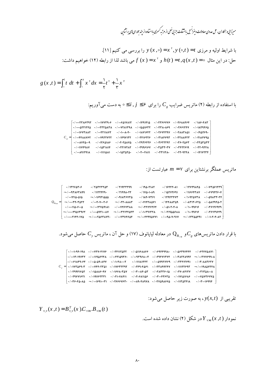مىرزايى وبمكاران، حل عددى معادلات دبفراسيل بامشقات جزيي خطى از مرتبه كسرى بااسفاده از حِند حمداى ياى برنشاين D - $\cdot$ 

با شرایط اولیه و مرزی 
$$
f(x, \circ) = x^x, y(\circ, t) = t(x, \circ) = t
$$
  
حل: در این مٹال  $f(x) = x^x$  و  $h(t) = t, q(x, t) = \circ$  اشت:

$$
g(x,t) = \int_{0}^{t} t dt + \int_{0}^{x} x^{\gamma} dx = \frac{1}{\gamma} t^{\gamma} + \frac{1}{\gamma} x^{\gamma}
$$

با استفاده از رابطه (۲) ماتریس ضرایب  $C_{_g}$  را برای ۶۶  $i,j\leq$ ۰ به دست میآوریم:

|  | $\lceil$ +/****Tx\$F9T +/***NYT9+\$ +/**\$QIVAIT +/*1F91F1Q +/*TF\$\$YY\$ +/*T\$AAF\$F +/1A\$*FAT $\rceil$ |  |  |  |
|--|------------------------------------------------------------------------------------------------------------|--|--|--|
|  |                                                                                                            |  |  |  |
|  |                                                                                                            |  |  |  |
|  | $C_{g}$ = $\vert$ +/++FAAVST +/++VATTVTT +/+1FAV1TT +/+TF1STTS +/+T1AFYAT +/+TTAAFTT +/+T1AFYAA            |  |  |  |
|  |                                                                                                            |  |  |  |
|  |                                                                                                            |  |  |  |
|  |                                                                                                            |  |  |  |

 $\kappa$  ماتریس عملگر برنشتاین برای  $m = \nu$  عبارتست از

| $Q_{B_{\text{max}}} =$ | $\cdot$ / ۱۳۲۶۵۳۰۶                                                    | $\cdot$ / $\gamma$ $\Delta$ $\gamma$ $\gamma$ $\gamma$ $\Delta$ $\gamma$ | $\cdot$ / $\gamma$ $\gamma$                                                    | $\cdot$ /194 $\cdot$ ۲۱۸۲                                              | $\cdot$ / 16447 $\cdot$ A1                                                                                                                                           | $\cdot$ / ITVF9AFA $\rightarrow$ / $\cdot$ VTASITT9                                                                                                                                                                                                                                                                                                                                                              |                            |
|------------------------|-----------------------------------------------------------------------|--------------------------------------------------------------------------|--------------------------------------------------------------------------------|------------------------------------------------------------------------|----------------------------------------------------------------------------------------------------------------------------------------------------------------------|------------------------------------------------------------------------------------------------------------------------------------------------------------------------------------------------------------------------------------------------------------------------------------------------------------------------------------------------------------------------------------------------------------------|----------------------------|
|                        | $-$ 9388999                                                           | $\cdot$ /112244.                                                         | $\cdot$ / ۲۱۹۹۸۰۲۲                                                             | $\cdot$ /175 $\cdot$ 1.19                                              | 4/10797991                                                                                                                                                           | ۰/ ۱۱۶۶۴۳ <b>۸۷</b>                                                                                                                                                                                                                                                                                                                                                                                              | $\cdot$ / $\cdot$ ۶۷۹۴۲۶۰۷ |
|                        | $\cdot$ / $\cdot\cdot$ 1414 $\cdot$ and                               | $-1.19971000$                                                            | $\cdot$ / $\cdot$ 91836878                                                     | $\cdot$ /18607481                                                      |                                                                                                                                                                      | $\cdot$ /12947477 $\cdot$ /1.974777 $\cdot$ / $\cdot$ 49477.77                                                                                                                                                                                                                                                                                                                                                   |                            |
|                        | $-$ / $\mathsf{r}\mathsf{r}\cdot\mathsf{r}\Delta\mathsf{r}\mathsf{r}$ | ./F.Y۲.۶                                                                 | $ \cdot$ $/$ $\cdot$ $\cdot$ $\cdot$ $\cdot$ $\wedge$ $\wedge$ $\wedge$ $\tau$ | $\cdot$ / $\cdot$ $\vee$ $\vee$ $\vee$ $\wedge$ $\wedge$ $\vee$ $\vee$ | $\cdot$ /144884                                                                                                                                                      | $\cdot$ / $\cdot$ $\wedge$ $\uparrow$ $\uparrow$ $\uparrow$ $\uparrow$ $\uparrow$ $\uparrow$ $\uparrow$ $\uparrow$ $\uparrow$ $\uparrow$ $\uparrow$ $\uparrow$ $\uparrow$ $\uparrow$ $\uparrow$ $\uparrow$ $\uparrow$ $\uparrow$ $\uparrow$ $\uparrow$ $\uparrow$ $\uparrow$ $\uparrow$ $\uparrow$ $\uparrow$ $\uparrow$ $\uparrow$ $\uparrow$ $\uparrow$ $\uparrow$ $\uparrow$ $\uparrow$ $\uparrow$ $\uparrow$ |                            |
|                        | $\cdot / \cdots \cap \Delta \cdot$ . $\Delta$                         |                                                                          | •/••746738                                                                     | $\rightarrow$ / • 341474464                                            | $\cdot$ / $\cdot$ $\Delta$ 1 $\cdot$ $\cdot$ $\cdot$ $\wedge$ $\cdot$ $\cdot$ $\wedge$ $\cdot$ $\cdot$ $\wedge$ $\cdot$ $\wedge$ $\wedge$ $\wedge$ $\wedge$ $\wedge$ |                                                                                                                                                                                                                                                                                                                                                                                                                  | $\cdot$ / $\cdot$ ۳۶۱۲۶۹۴۹ |
|                        |                                                                       |                                                                          |                                                                                |                                                                        |                                                                                                                                                                      | $\cdot$ /1.099616                                                                                                                                                                                                                                                                                                                                                                                                | $\cdot$ / $\cdot$ ۳۶۱۲۹۶۴۹ |
|                        | •/····2144.175                                                        |                                                                          |                                                                                |                                                                        |                                                                                                                                                                      |                                                                                                                                                                                                                                                                                                                                                                                                                  |                            |

با قرار دادن ماتریس،های  $C_{g}$ و بره معادله لیاپانوف (۱۷) و حل آن ، ماتریس  $C_{y}$  حاصل میشود.

|  |  |  | $\lceil$ +/+11-9F+19A +/++YYY+F1Y& +/+YF111YQTY +/+Q11&AAG& +/+&9FF99A+ +/+Q8Y9YFFF +/+&YYYQAY1 $\rceil$                                                   |
|--|--|--|------------------------------------------------------------------------------------------------------------------------------------------------------------|
|  |  |  |                                                                                                                                                            |
|  |  |  | $\cdot$ />1AF9.5F $\cdot$ / $\Delta$ . $\Delta$ 9.1FY $\cdot$ /.1.FAT $\cdot$ /.111A1TFT $\cdot$ / $\Delta$ 99.71F29 $\cdot$ /.TTF1TV91 $\cdot$ /.T.AATSTV |
|  |  |  | $C_{_{\rm v}}$ = $\mid$ +/+1V۳۵۶۹+۳ = +/++VFF+۲۳۵1 = +/+1V۶۳۲۳۹۲ = +/+۲۴۹+F۵۶1 = +/+۲۳۸۹۹۲F۷ = +/+111۲۲۶۹۳ = +/++19۸۵۷۲F۸ $\mid$                           |
|  |  |  | $\cdot$ /-19911601 $\cdot$ /-10006-91 $\cdot$ /-1660-101 $\cdot$ /-17 $\cdot$ AF-01 $\cdot$ /-17 $\cdot$ 161 $\cdot$ /-11/-16117 $\cdot$ /-11160.          |
|  |  |  | $\cdot$ /-191411911 -/-19161111 -/-11-14111 -/-11-641126 -/-11-111512 -/-11121616 -/-11217614                                                              |
|  |  |  |                                                                                                                                                            |

تقریبی از  $y(x,t)$  ، به صورت زیر حاصل میشود:

$$
Y_{v,v}(x,t) = B_{v,v}^{T}(x) C_{v \times v} B_{v \times v}(t)
$$

نمودار  $Y_{\rm vxy}(x\,,t)$  در شکل (۲) نشان داده شده است.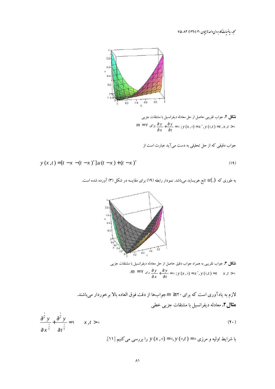مجله رياضيات كاربردي واحد لاسجان ٣٠ (١٣٩٠) ٧٥-٧٥



**شکل ۲.** جواب تقریبی حاصل از حل معادله دیفرانسیل با مشتقات جزیبی  $m = \sqrt{v}$   $\frac{\partial y}{\partial x} + \frac{\partial y}{\partial t} = 0$ ;  $y(x, 0) = x^{\dagger}$ ,  $y(0, t) = t$ ,  $x, t > 0$ 

۔<br>جواب دقیقی که از حل تحلیلی به دست می آید عبارت است از

$$
y(x,t) = [t - x - (t - x)^{r}]u(t - x) + (t - x)^{r}
$$
\n(14)

به طوری که  $u(.)$  تابع هویساید میباشد. نمودار رابطه (۱۹) برای مقایسه در شکل (۳) آورده شده است.



**شکل ۳.** جواب تقریبی به همراه جواب دقیق حاصل از حل معادله دیفرانسیل با مشتقات جزیبی  $m = V e^{jx} \frac{\partial y}{\partial x} + \frac{\partial y}{\partial t} = 0$ ;  $y(x, \circ) = x^{\circ}, y(\circ, t) = t \quad x, t > 0$ 

لازم به یادآوری است که برای ۲۰ ≤  $m \geq n$ جوابها از دقت فوق العاده بالا برخوردار میباشند. **مثال ۲.** معادله دیفرانسیل با مشتقات جزیبی خطبی

$$
\frac{\partial^{\frac{1}{r}} y}{\partial x^{\frac{1}{r}}} + \frac{\partial^{\frac{1}{r}} y}{\partial t^{\frac{1}{r}}} = 1 \qquad x, t > 0
$$
\n
$$
\text{(11)} \qquad \text{(12)} \qquad \text{(24)} \qquad \text{(25)}
$$
\n
$$
\text{(36)}
$$
\n
$$
\text{(47)}
$$
\n
$$
\text{(58)}
$$
\n
$$
\text{(69)}
$$
\n
$$
\text{(79)}
$$
\n
$$
\text{(80)}
$$
\n
$$
\text{(91)}
$$
\n
$$
\text{(10)}
$$
\n
$$
\text{(11)}
$$
\n
$$
\text{(12)}
$$
\n
$$
\text{(13)}
$$
\n
$$
\text{(14)}
$$
\n
$$
\text{(15)}
$$
\n
$$
\text{(16)}
$$
\n
$$
\text{(17)}
$$
\n
$$
\text{(18)}
$$
\n
$$
\text{(19)}
$$
\n
$$
\text{(19)}
$$
\n
$$
\text{(19)}
$$
\n
$$
\text{(19)}
$$
\n
$$
\text{(19)}
$$
\n
$$
\text{(19)}
$$
\n
$$
\text{(19)}
$$
\n
$$
\text{(19)}
$$
\n
$$
\text{(19)}
$$
\n
$$
\text{(19)}
$$
\n
$$
\text{(19)}
$$
\n
$$
\text{(19)}
$$
\n
$$
\text{(19)}
$$
\n
$$
\text{(19)}
$$
\n
$$
\text{(19)}
$$
\n
$$
\text{(19)}
$$
\n
$$
\text{(19)}
$$
\n
$$
\text{(19)}
$$
\n
$$
\text{(19)}
$$
\n
$$
\text{(19)}
$$
\n
$$
\text{(19)}
$$
\n
$$
\text{(19)}
$$
\n
$$
\text{(19)}
$$
\n
$$
\text{(19)}
$$
\n
$$
\text{(19)}
$$
\n
$$
\text{(19)}
$$
\n
$$
\text{(19)}
$$
\n
$$
\text{(19)}
$$
\n
$$
\text{(19)}
$$
\n
$$
\text{(19)}
$$
\n
$$
\text{(
$$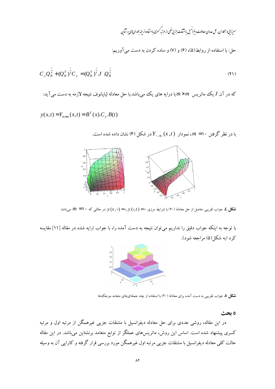حل: با استفاده از روابط(۵)، (۶) و (۷) و ساده کردن به دست می آوریم:

$$
C_{y} Q_{B}^{\frac{1}{\gamma}} + (Q_{B}^{T})^{\frac{1}{\gamma}} C_{y} = (Q_{B}^{T})^{\frac{1}{\gamma}} J \ Q_{B}^{\frac{1}{\gamma}}
$$
\n(71)

که در آن  $J$  یک ماتریس  $m\times m$ با درایه های یک میباشد.با حل معادله لیاپانوف نتیجه لازمه به دست میآید:

$$
y(x,t) \approx Y_{m \times m}(x,t) = B^{T}(x).C_{y}.B(t)
$$

با در نظر گرفتن ۱۰ $m=1$ ، نمودار  $Y_{\text{max.}}(x,t)$ در شکل (۴) نشان داده شده است.



شکل ٤. جواب تقریبی حاصل از حل معادله (٢٠) با شرایط مرزی ٥= ( y (0,t ) و (x ,0) در حالتی که ١٠ =  $m = 1$  میباشد

با توجه به اینکه جواب دقیق را نداریم می توان نتیجه به دست آمده را، با جواب ارایه شده در مقاله [۱۱] مقایسه کرد (په شکل(۵) مړاجعه شود).



**شکل ۵.** جواب تقریبی به دست آمده برای معادله (۲۰) با استفاده از چند جملهایهای متعامد موجک ها

ه بحث

در این مقاله، روشی عددی برای حل معادله دیفرانسیل با مشتقات جزیی غیرهمگن از مرتبه اول و مرتبه کسری پیشنهاد شده است. اساس این روش، ماتریسهای عملگر از توابع متعامد برنشتاین میباشد. در این مقاله حالت کلبی معادله دیفرانسیل با مشتقات جزیبی مرتبه اول غیرهمگن مورد بررسی قرار گرفته و کارایی آن به وسیله